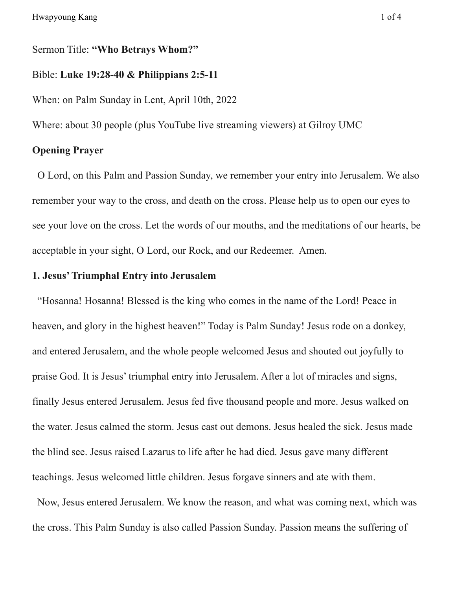Sermon Title: **"Who Betrays Whom?"**

### Bible: **Luke 19:28-40 & Philippians 2:5-11**

When: on Palm Sunday in Lent, April 10th, 2022

Where: about 30 people (plus YouTube live streaming viewers) at Gilroy UMC

## **Opening Prayer**

O Lord, on this Palm and Passion Sunday, we remember your entry into Jerusalem. We also remember your way to the cross, and death on the cross. Please help us to open our eyes to see your love on the cross. Let the words of our mouths, and the meditations of our hearts, be acceptable in your sight, O Lord, our Rock, and our Redeemer. Amen.

# **1. Jesus'Triumphal Entry into Jerusalem**

"Hosanna! Hosanna! Blessed is the king who comes in the name of the Lord! Peace in heaven, and glory in the highest heaven!" Today is Palm Sunday! Jesus rode on a donkey, and entered Jerusalem, and the whole people welcomed Jesus and shouted out joyfully to praise God. It is Jesus' triumphal entry into Jerusalem. After a lot of miracles and signs, finally Jesus entered Jerusalem. Jesus fed five thousand people and more. Jesus walked on the water. Jesus calmed the storm. Jesus cast out demons. Jesus healed the sick. Jesus made the blind see. Jesus raised Lazarus to life after he had died. Jesus gave many different teachings. Jesus welcomed little children. Jesus forgave sinners and ate with them.

Now, Jesus entered Jerusalem. We know the reason, and what was coming next, which was the cross. This Palm Sunday is also called Passion Sunday. Passion means the suffering of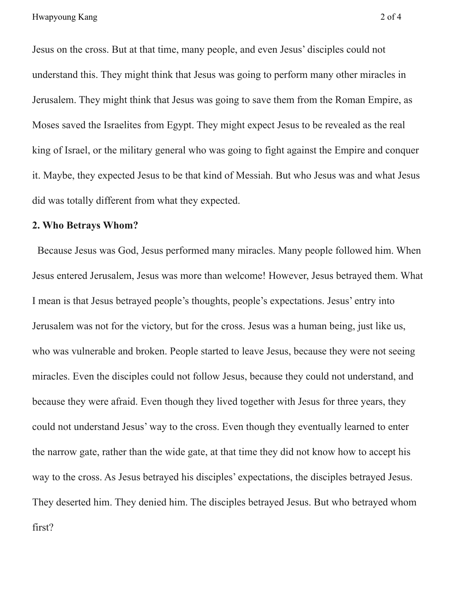Jesus on the cross. But at that time, many people, and even Jesus' disciples could not understand this. They might think that Jesus was going to perform many other miracles in Jerusalem. They might think that Jesus was going to save them from the Roman Empire, as Moses saved the Israelites from Egypt. They might expect Jesus to be revealed as the real king of Israel, or the military general who was going to fight against the Empire and conquer it. Maybe, they expected Jesus to be that kind of Messiah. But who Jesus was and what Jesus did was totally different from what they expected.

#### **2. Who Betrays Whom?**

Because Jesus was God, Jesus performed many miracles. Many people followed him. When Jesus entered Jerusalem, Jesus was more than welcome! However, Jesus betrayed them. What I mean is that Jesus betrayed people's thoughts, people's expectations. Jesus' entry into Jerusalem was not for the victory, but for the cross. Jesus was a human being, just like us, who was vulnerable and broken. People started to leave Jesus, because they were not seeing miracles. Even the disciples could not follow Jesus, because they could not understand, and because they were afraid. Even though they lived together with Jesus for three years, they could not understand Jesus' way to the cross. Even though they eventually learned to enter the narrow gate, rather than the wide gate, at that time they did not know how to accept his way to the cross. As Jesus betrayed his disciples' expectations, the disciples betrayed Jesus. They deserted him. They denied him. The disciples betrayed Jesus. But who betrayed whom first?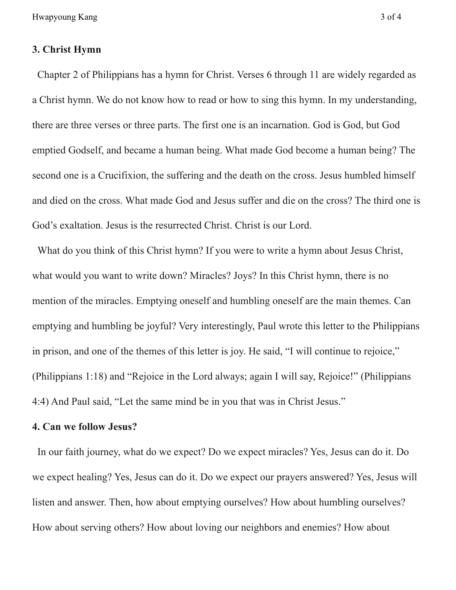Hwapyoung Kang 3 of 4

#### **3. Christ Hymn**

Chapter 2 of Philippians has a hymn for Christ. Verses 6 through 11 are widely regarded as a Christ hymn. We do not know how to read or how to sing this hymn. In my understanding, there are three verses or three parts. The first one is an incarnation. God is God, but God emptied Godself, and became a human being. What made God become a human being? The second one is a Crucifixion, the suffering and the death on the cross. Jesus humbled himself and died on the cross. What made God and Jesus suffer and die on the cross? The third one is God's exaltation. Jesus is the resurrected Christ. Christ is our Lord.

What do you think of this Christ hymn? If you were to write a hymn about Jesus Christ, what would you want to write down? Miracles? Joys? In this Christ hymn, there is no mention of the miracles. Emptying oneself and humbling oneself are the main themes. Can emptying and humbling be joyful? Very interestingly, Paul wrote this letter to the Philippians in prison, and one of the themes of this letter is joy. He said, "I will continue to rejoice," (Philippians 1:18) and "Rejoice in the Lord always; again I will say, Rejoice!" (Philippians 4:4) And Paul said, "Let the same mind be in you that was in Christ Jesus."

### **4. Can we follow Jesus?**

In our faith journey, what do we expect? Do we expect miracles? Yes, Jesus can do it. Do we expect healing? Yes, Jesus can do it. Do we expect our prayers answered? Yes, Jesus will listen and answer. Then, how about emptying ourselves? How about humbling ourselves? How about serving others? How about loving our neighbors and enemies? How about